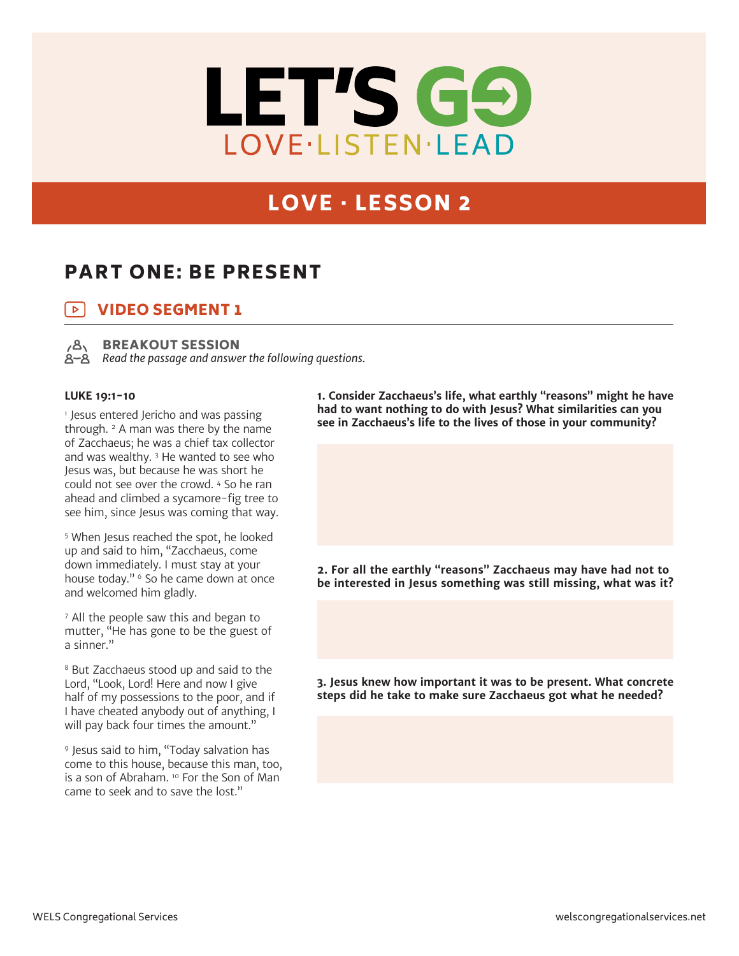

# LOVE · LESSON 2

# PART ONE: BE PRESENT

### VIDEO SEGMENT 1  $\triangleright$



BREAKOUT SESSION

*Read the passage and answer the following questions.*

### **LUKE 19:1-10**

1 Jesus entered Jericho and was passing through.  $2$  A man was there by the name of Zacchaeus; he was a chief tax collector and was wealthy. 3 He wanted to see who Jesus was, but because he was short he could not see over the crowd. 4 So he ran ahead and climbed a sycamore-fig tree to see him, since Jesus was coming that way.

5 When Jesus reached the spot, he looked up and said to him, "Zacchaeus, come down immediately. I must stay at your house today." <sup>6</sup> So he came down at once and welcomed him gladly.

7 All the people saw this and began to mutter, "He has gone to be the guest of a sinner."

8 But Zacchaeus stood up and said to the Lord, "Look, Lord! Here and now I give half of my possessions to the poor, and if I have cheated anybody out of anything, I will pay back four times the amount."

9 Jesus said to him, "Today salvation has come to this house, because this man, too, is a son of Abraham. 10 For the Son of Man came to seek and to save the lost."

**1. Consider Zacchaeus's life, what earthly "reasons" might he have had to want nothing to do with Jesus? What similarities can you see in Zacchaeus's life to the lives of those in your community?**

**2. For all the earthly "reasons" Zacchaeus may have had not to be interested in Jesus something was still missing, what was it?** 

**3. Jesus knew how important it was to be present. What concrete steps did he take to make sure Zacchaeus got what he needed?**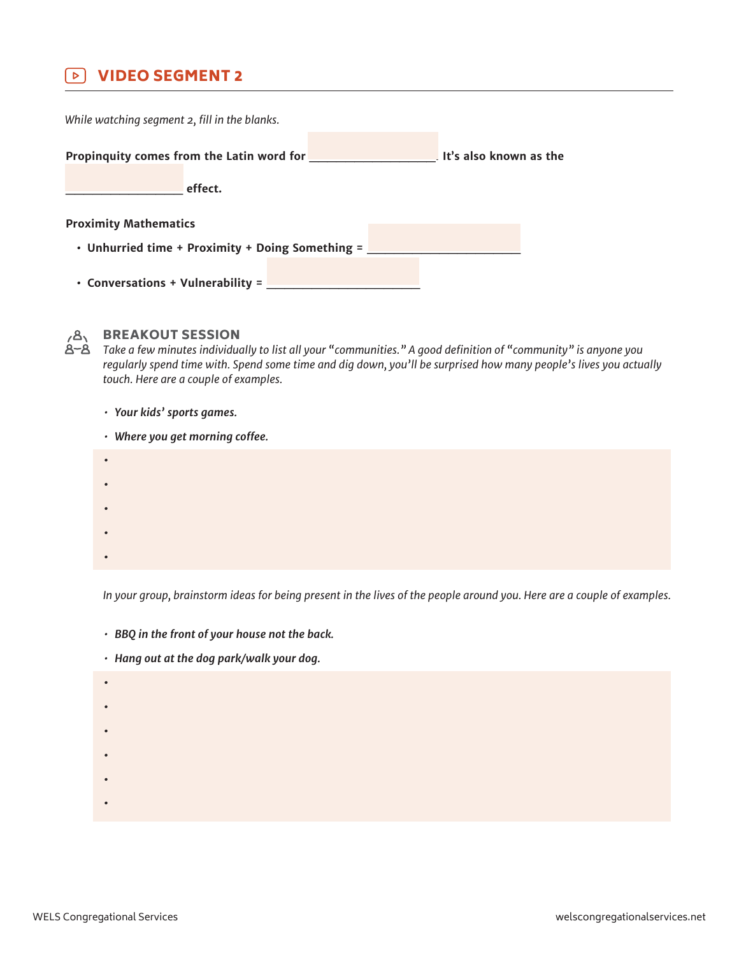#### $\triangleright$ VIDEO SEGMENT 2

**Propinquity comes from the Latin word for \_\_\_\_\_\_\_\_\_\_\_\_\_\_. It's also known as the \_\_\_\_\_\_\_\_\_\_\_\_\_ effect. Proximity Mathematics • Unhurried time + Proximity + Doing Something = \_\_\_\_\_\_\_\_\_\_\_\_\_\_\_\_\_ • Conversations + Vulnerability = \_\_\_\_\_\_\_\_\_\_\_\_\_\_\_\_\_** *While watching segment 2, fill in the blanks.*



## **BREAKOUT SESSION**

*Take a few minutes individually to list all your "communities." A good definition of "community" is anyone you regularly spend time with. Spend some time and dig down, you'll be surprised how many people's lives you actually touch. Here are a couple of examples.*

- *• Your kids' sports games.*
- *• Where you get morning coffee.*
- **• • • • •**

*In your group, brainstorm ideas for being present in the lives of the people around you. Here are a couple of examples.*

- *• BBQ in the front of your house not the back.*
- *• Hang out at the dog park/walk your dog.*
- **• • • • • •**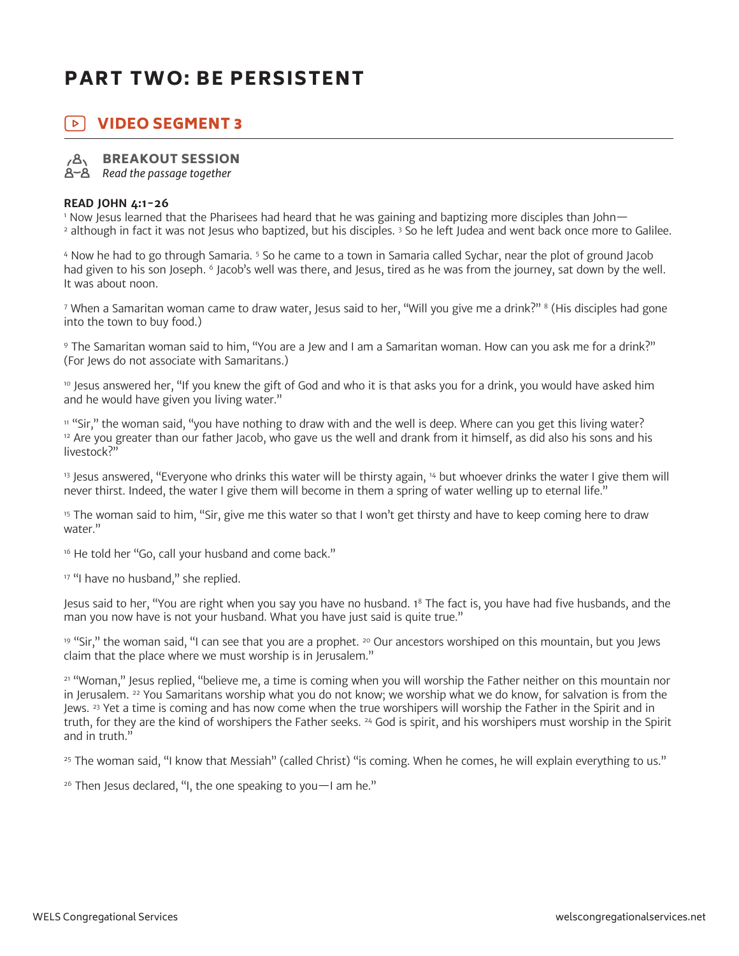# PART TWO: BE PERSISTENT

#### | ⊳ | VIDEO SEGMENT 3



## BREAKOUT SESSION

*Read the passage together*

### **READ JOHN 4:1-26**

1 Now Jesus learned that the Pharisees had heard that he was gaining and baptizing more disciples than John— 2 although in fact it was not Jesus who baptized, but his disciples. 3 So he left Judea and went back once more to Galilee.

4 Now he had to go through Samaria. 5 So he came to a town in Samaria called Sychar, near the plot of ground Jacob had given to his son Joseph. <sup>6</sup> Jacob's well was there, and Jesus, tired as he was from the journey, sat down by the well. It was about noon.

<sup>7</sup> When a Samaritan woman came to draw water, Jesus said to her, "Will you give me a drink?" <sup>8</sup> (His disciples had gone into the town to buy food.)

9 The Samaritan woman said to him, "You are a Jew and I am a Samaritan woman. How can you ask me for a drink?" (For Jews do not associate with Samaritans.)

<sup>10</sup> Jesus answered her, "If you knew the gift of God and who it is that asks you for a drink, you would have asked him and he would have given you living water."

<sup>11</sup> "Sir," the woman said, "you have nothing to draw with and the well is deep. Where can you get this living water? <sup>12</sup> Are you greater than our father Jacob, who gave us the well and drank from it himself, as did also his sons and his livestock?"

<sup>13</sup> Jesus answered, "Everyone who drinks this water will be thirsty again, <sup>14</sup> but whoever drinks the water I give them will never thirst. Indeed, the water I give them will become in them a spring of water welling up to eternal life."

<sup>15</sup> The woman said to him, "Sir, give me this water so that I won't get thirsty and have to keep coming here to draw water."

<sup>16</sup> He told her "Go, call your husband and come back."

<sup>17</sup> "I have no husband," she replied.

Jesus said to her, "You are right when you say you have no husband. 18 The fact is, you have had five husbands, and the man you now have is not your husband. What you have just said is quite true."

 $19$  "Sir," the woman said, "I can see that you are a prophet.  $20$  Our ancestors worshiped on this mountain, but you Jews claim that the place where we must worship is in Jerusalem."

<sup>21</sup> "Woman," Jesus replied, "believe me, a time is coming when you will worship the Father neither on this mountain nor in Jerusalem. <sup>22</sup> You Samaritans worship what you do not know; we worship what we do know, for salvation is from the Jews. <sup>23</sup> Yet a time is coming and has now come when the true worshipers will worship the Father in the Spirit and in truth, for they are the kind of worshipers the Father seeks. 24 God is spirit, and his worshipers must worship in the Spirit and in truth."

<sup>25</sup> The woman said, "I know that Messiah" (called Christ) "is coming. When he comes, he will explain everything to us."

 $26$  Then Jesus declared, "I, the one speaking to you  $-1$  am he."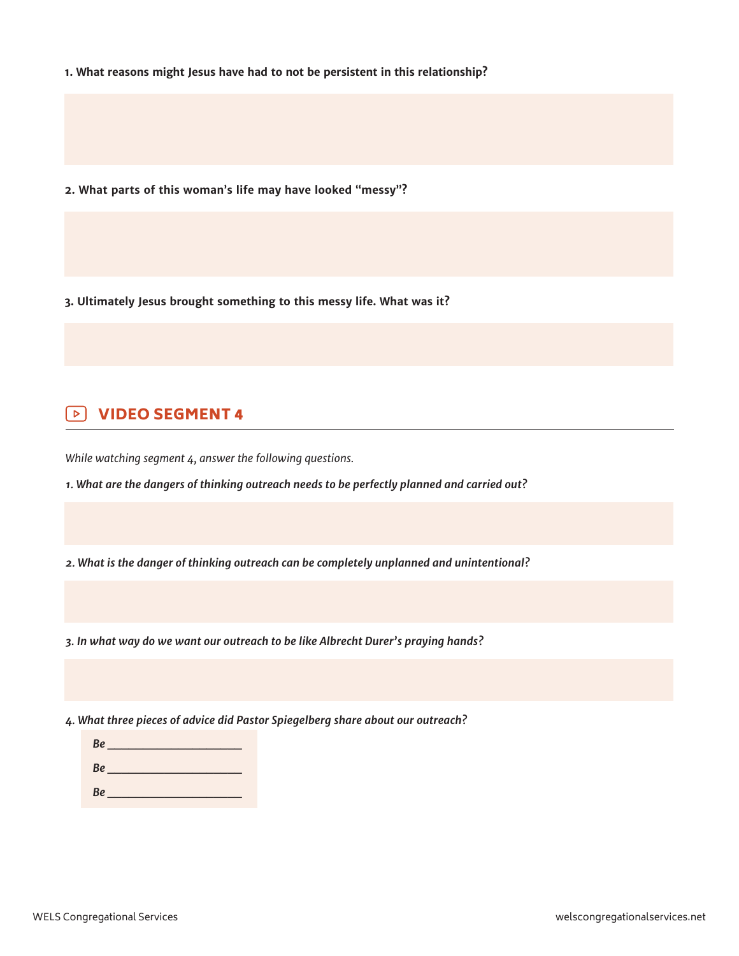**1. What reasons might Jesus have had to not be persistent in this relationship?**

**2. What parts of this woman's life may have looked "messy"?**

**3. Ultimately Jesus brought something to this messy life. What was it?**

### VIDEO SEGMENT 4  $\triangleright$

*While watching segment 4, answer the following questions.*

*1. What are the dangers of thinking outreach needs to be perfectly planned and carried out?*

*2. What is the danger of thinking outreach can be completely unplanned and unintentional?*

*3. In what way do we want our outreach to be like Albrecht Durer's praying hands?*

*4. What three pieces of advice did Pastor Spiegelberg share about our outreach?*

| Be        |  |
|-----------|--|
| <b>Be</b> |  |
| Be        |  |